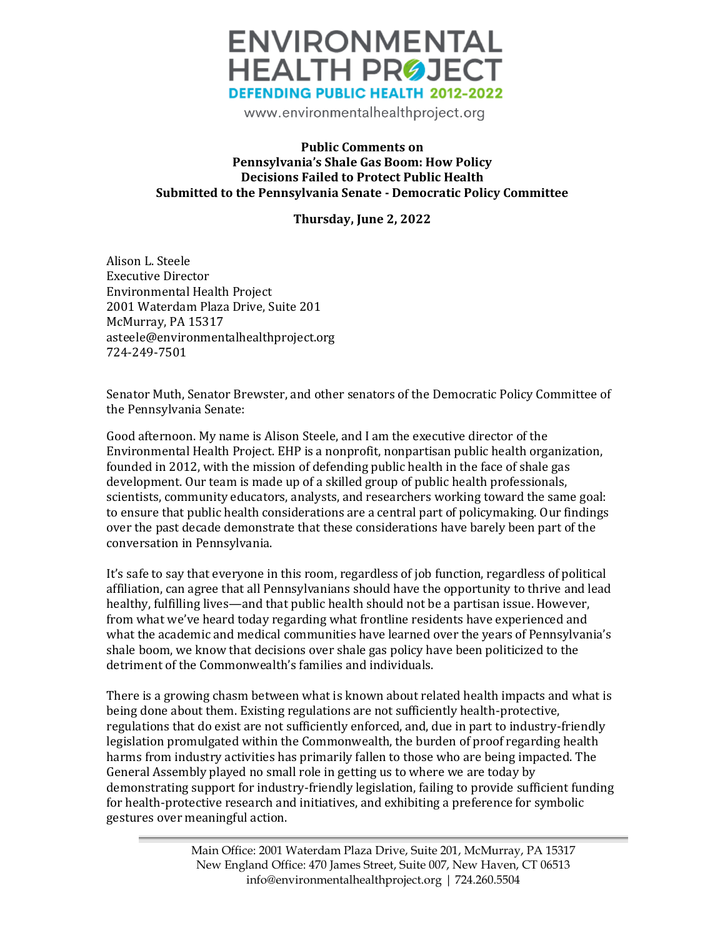

www.environmentalhealthproject.org

## **Public Comments on Pennsylvania's Shale Gas Boom: How Policy Decisions Failed to Protect Public Health Submitted to the Pennsylvania Senate - Democratic Policy Committee**

**Thursday, June 2, 2022**

Alison L. Steele Executive Director Environmental Health Project 2001 Waterdam Plaza Drive, Suite 201 McMurray, PA 15317 asteele@environmentalhealthproject.org 724-249-7501

Senator Muth, Senator Brewster, and other senators of the Democratic Policy Committee of the Pennsylvania Senate:

Good afternoon. My name is Alison Steele, and I am the executive director of the Environmental Health Project. EHP is a nonprofit, nonpartisan public health organization, founded in 2012, with the mission of defending public health in the face of shale gas development. Our team is made up of a skilled group of public health professionals, scientists, community educators, analysts, and researchers working toward the same goal: to ensure that public health considerations are a central part of policymaking. Our findings over the past decade demonstrate that these considerations have barely been part of the conversation in Pennsylvania.

It's safe to say that everyone in this room, regardless of job function, regardless of political affiliation, can agree that all Pennsylvanians should have the opportunity to thrive and lead healthy, fulfilling lives—and that public health should not be a partisan issue. However, from what we've heard today regarding what frontline residents have experienced and what the academic and medical communities have learned over the years of Pennsylvania's shale boom, we know that decisions over shale gas policy have been politicized to the detriment of the Commonwealth's families and individuals.

There is a growing chasm between what is known about related health impacts and what is being done about them. Existing regulations are not sufficiently health-protective, regulations that do exist are not sufficiently enforced, and, due in part to industry-friendly legislation promulgated within the Commonwealth, the burden of proof regarding health harms from industry activities has primarily fallen to those who are being impacted. The General Assembly played no small role in getting us to where we are today by demonstrating support for industry-friendly legislation, failing to provide sufficient funding for health-protective research and initiatives, and exhibiting a preference for symbolic gestures over meaningful action.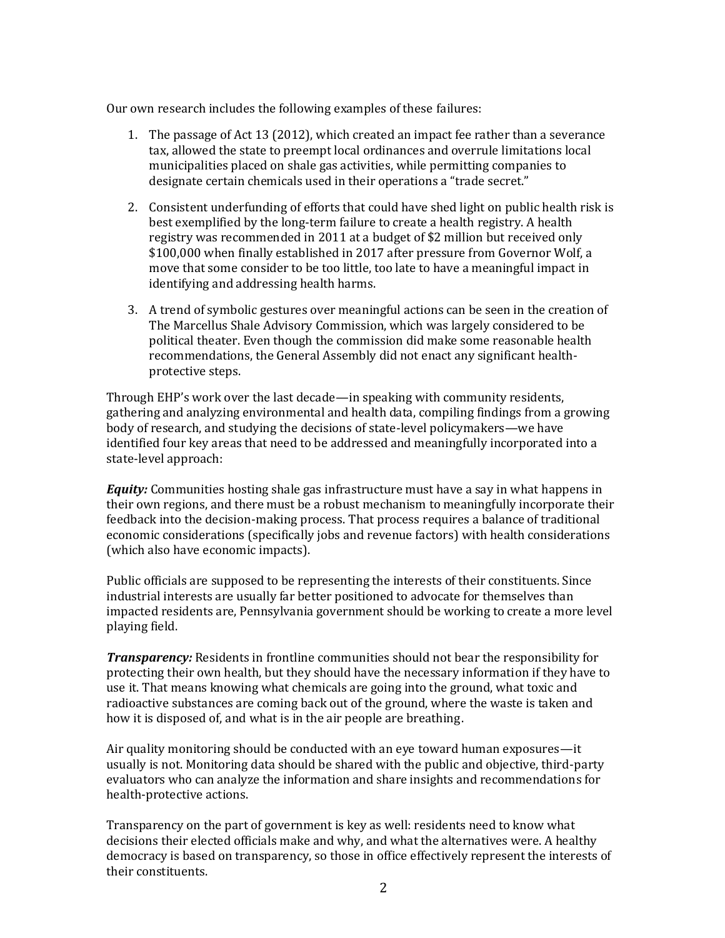Our own research includes the following examples of these failures:

- 1. The passage of Act 13 (2012), which created an impact fee rather than a severance tax, allowed the state to preempt local ordinances and overrule limitations local municipalities placed on shale gas activities, while permitting companies to designate certain chemicals used in their operations a "trade secret."
- 2. Consistent underfunding of efforts that could have shed light on public health risk is best exemplified by the long-term failure to create a health registry. A health registry was recommended in 2011 at a budget of \$2 million but received only \$100,000 when finally established in 2017 after pressure from Governor Wolf, a move that some consider to be too little, too late to have a meaningful impact in identifying and addressing health harms.
- 3. A trend of symbolic gestures over meaningful actions can be seen in the creation of The Marcellus Shale Advisory Commission, which was largely considered to be political theater. Even though the commission did make some reasonable health recommendations, the General Assembly did not enact any significant healthprotective steps.

Through EHP's work over the last decade—in speaking with community residents, gathering and analyzing environmental and health data, compiling findings from a growing body of research, and studying the decisions of state-level policymakers—we have identified four key areas that need to be addressed and meaningfully incorporated into a state-level approach:

*Equity:* Communities hosting shale gas infrastructure must have a say in what happens in their own regions, and there must be a robust mechanism to meaningfully incorporate their feedback into the decision-making process. That process requires a balance of traditional economic considerations (specifically jobs and revenue factors) with health considerations (which also have economic impacts).

Public officials are supposed to be representing the interests of their constituents. Since industrial interests are usually far better positioned to advocate for themselves than impacted residents are, Pennsylvania government should be working to create a more level playing field.

*Transparency:* Residents in frontline communities should not bear the responsibility for protecting their own health, but they should have the necessary information if they have to use it. That means knowing what chemicals are going into the ground, what toxic and radioactive substances are coming back out of the ground, where the waste is taken and how it is disposed of, and what is in the air people are breathing.

Air quality monitoring should be conducted with an eye toward human exposures—it usually is not. Monitoring data should be shared with the public and objective, third-party evaluators who can analyze the information and share insights and recommendations for health-protective actions.

Transparency on the part of government is key as well: residents need to know what decisions their elected officials make and why, and what the alternatives were. A healthy democracy is based on transparency, so those in office effectively represent the interests of their constituents.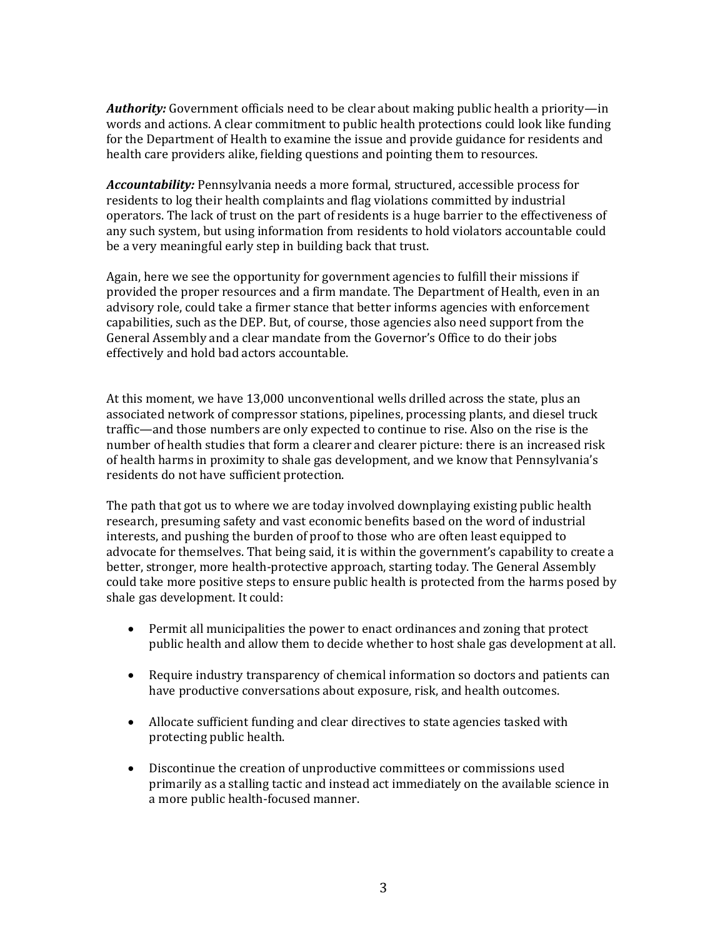*Authority:* Government officials need to be clear about making public health a priority—in words and actions. A clear commitment to public health protections could look like funding for the Department of Health to examine the issue and provide guidance for residents and health care providers alike, fielding questions and pointing them to resources.

*Accountability:* Pennsylvania needs a more formal, structured, accessible process for residents to log their health complaints and flag violations committed by industrial operators. The lack of trust on the part of residents is a huge barrier to the effectiveness of any such system, but using information from residents to hold violators accountable could be a very meaningful early step in building back that trust.

Again, here we see the opportunity for government agencies to fulfill their missions if provided the proper resources and a firm mandate. The Department of Health, even in an advisory role, could take a firmer stance that better informs agencies with enforcement capabilities, such as the DEP. But, of course, those agencies also need support from the General Assembly and a clear mandate from the Governor's Office to do their jobs effectively and hold bad actors accountable.

At this moment, we have 13,000 unconventional wells drilled across the state, plus an associated network of compressor stations, pipelines, processing plants, and diesel truck traffic—and those numbers are only expected to continue to rise. Also on the rise is the number of health studies that form a clearer and clearer picture: there is an increased risk of health harms in proximity to shale gas development, and we know that Pennsylvania's residents do not have sufficient protection.

The path that got us to where we are today involved downplaying existing public health research, presuming safety and vast economic benefits based on the word of industrial interests, and pushing the burden of proof to those who are often least equipped to advocate for themselves. That being said, it is within the government's capability to create a better, stronger, more health-protective approach, starting today. The General Assembly could take more positive steps to ensure public health is protected from the harms posed by shale gas development. It could:

- Permit all municipalities the power to enact ordinances and zoning that protect public health and allow them to decide whether to host shale gas development at all.
- Require industry transparency of chemical information so doctors and patients can have productive conversations about exposure, risk, and health outcomes.
- Allocate sufficient funding and clear directives to state agencies tasked with protecting public health.
- Discontinue the creation of unproductive committees or commissions used primarily as a stalling tactic and instead act immediately on the available science in a more public health-focused manner.